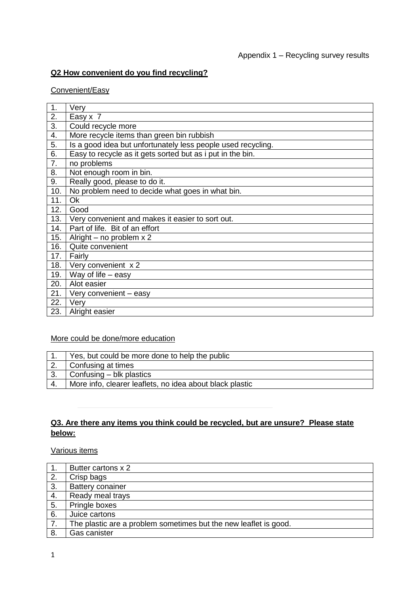# **Q2 How convenient do you find recycling?**

### Convenient/Easy

| 1.  | Very                                                         |
|-----|--------------------------------------------------------------|
| 2.  | Easy x 7                                                     |
| 3.  | Could recycle more                                           |
| 4.  | More recycle items than green bin rubbish                    |
| 5.  | Is a good idea but unfortunately less people used recycling. |
| 6.  | Easy to recycle as it gets sorted but as i put in the bin.   |
| 7.  | no problems                                                  |
| 8.  | Not enough room in bin.                                      |
| 9.  | Really good, please to do it.                                |
| 10. | No problem need to decide what goes in what bin.             |
| 11. | <b>Ok</b>                                                    |
| 12. | Good                                                         |
| 13. | Very convenient and makes it easier to sort out.             |
| 14. | Part of life. Bit of an effort                               |
| 15. | Alright – no problem $x 2$                                   |
| 16. | Quite convenient                                             |
| 17. | Fairly                                                       |
| 18. | Very convenient x 2                                          |
| 19. | Way of life $-$ easy                                         |
| 20. | Alot easier                                                  |
| 21. | Very convenient - easy                                       |
| 22. | Very                                                         |
| 23. | Alright easier                                               |

## More could be done/more education

|    | Yes, but could be more done to help the public           |
|----|----------------------------------------------------------|
|    | Confusing at times                                       |
| 3. | $\vert$ Confusing – blk plastics                         |
| 4. | More info, clearer leaflets, no idea about black plastic |

# **Q3. Are there any items you think could be recycled, but are unsure? Please state below:**

Various items

| 1. | Butter cartons x 2                                               |
|----|------------------------------------------------------------------|
| 2. | Crisp bags                                                       |
| 3. | <b>Battery conainer</b>                                          |
| 4. | Ready meal trays                                                 |
| 5. | Pringle boxes                                                    |
| 6. | Juice cartons                                                    |
| 7. | The plastic are a problem sometimes but the new leaflet is good. |
| 8. | Gas canister                                                     |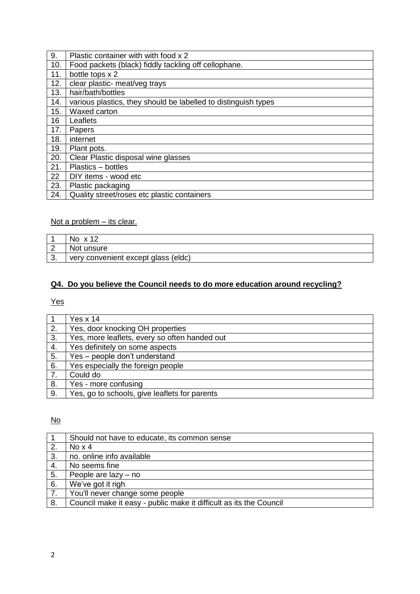| 9.  | Plastic container with with food x 2                           |
|-----|----------------------------------------------------------------|
| 10. | Food packets (black) fiddly tackling off cellophane.           |
| 11. | bottle tops x 2                                                |
| 12. | clear plastic- meat/veg trays                                  |
| 13. | hair/bath/bottles                                              |
| 14. | various plastics, they should be labelled to distinguish types |
| 15. | Waxed carton                                                   |
| 16  | Leaflets                                                       |
| 17. | Papers                                                         |
| 18. | internet                                                       |
| 19. | Plant pots.                                                    |
| 20. | Clear Plastic disposal wine glasses                            |
| 21. | Plastics - bottles                                             |
| 22  | DIY items - wood etc                                           |
| 23. | Plastic packaging                                              |
| 24. | Quality street/roses etc plastic containers                    |

# Not a problem – its clear.

|   | $No \times 12$                      |
|---|-------------------------------------|
|   | Not unsure                          |
| ⌒ | very convenient except glass (eldc) |

# **Q4. Do you believe the Council needs to do more education around recycling?**

# Yes

|    | Yes $x$ 14                                    |
|----|-----------------------------------------------|
| 2. | Yes, door knocking OH properties              |
| 3. | Yes, more leaflets, every so often handed out |
| 4. | Yes definitely on some aspects                |
| 5. | Yes - people don't understand                 |
| 6. | Yes especially the foreign people             |
| 7. | Could do                                      |
| 8. | Yes - more confusing                          |
| 9. | Yes, go to schools, give leaflets for parents |

# No

|    | Should not have to educate, its common sense                       |
|----|--------------------------------------------------------------------|
| 2. | No x 4                                                             |
| 3. | no. online info available                                          |
| 4. | No seems fine                                                      |
| 5. | People are lazy – no                                               |
| 6. | We've got it righ                                                  |
| 7. | You'll never change some people                                    |
| 8. | Council make it easy - public make it difficult as its the Council |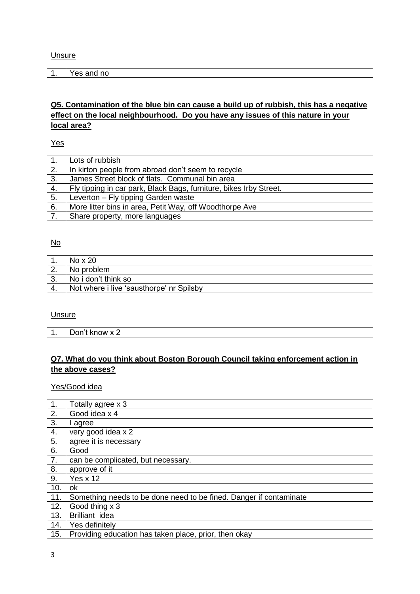| Yes and no |
|------------|
|            |

## **Q5. Contamination of the blue bin can cause a build up of rubbish, this has a negative effect on the local neighbourhood. Do you have any issues of this nature in your local area?**

Yes

| 1. | Lots of rubbish                                                    |
|----|--------------------------------------------------------------------|
| 2. | In kirton people from abroad don't seem to recycle                 |
| 3. | James Street block of flats. Communal bin area                     |
| 4. | Fly tipping in car park, Black Bags, furniture, bikes Irby Street. |
| 5. | Leverton - Fly tipping Garden waste                                |
| 6. | More litter bins in area, Petit Way, off Woodthorpe Ave            |
| 7. | Share property, more languages                                     |

### No

| No x 20                                  |
|------------------------------------------|
| No problem                               |
| No i don't think so                      |
| Not where i live 'sausthorpe' nr Spilsby |

#### Unsure

1. Don't know x 2

### **Q7. What do you think about Boston Borough Council taking enforcement action in the above cases?**

#### Yes/Good idea

| $\overline{1}$ . | Totally agree x 3                                                  |
|------------------|--------------------------------------------------------------------|
| $\overline{2}$ . | Good idea x 4                                                      |
| $\overline{3}$ . | l agree                                                            |
| 4.               | very good idea x 2                                                 |
| 5.               | agree it is necessary                                              |
| 6.               | Good                                                               |
| 7.               | can be complicated, but necessary.                                 |
| 8.               | approve of it                                                      |
| 9.               | Yes $x$ 12                                                         |
| 10.              | ok                                                                 |
| 11.              | Something needs to be done need to be fined. Danger if contaminate |
| 12.              | Good thing x 3                                                     |
| 13.              | Brilliant idea                                                     |
| 14.              | Yes definitely                                                     |
| 15.              | Providing education has taken place, prior, then okay              |